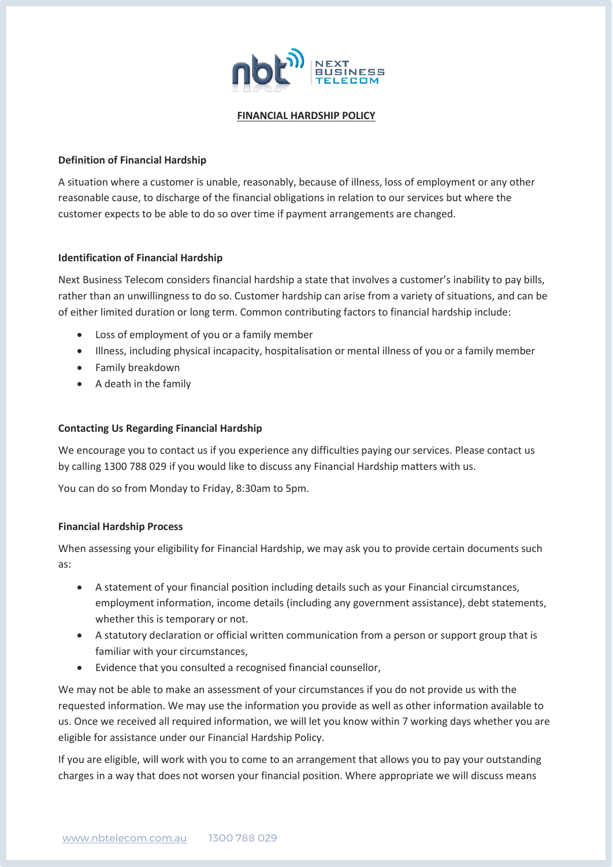

#### **FINANCIAL HARDSHIP POLICY**

## **Definition of Financial Hardship**

A situation where a customer is unable, reasonably, because of illness, loss of employment or any other reasonable cause, to discharge of the financial obligations in relation to our services but where the customer expects to be able to do so over time if payment arrangements are changed.

#### **Identification of Financial Hardship**

Next Business Telecom considers financial hardship a state that involves a customer's inability to pay bills, rather than an unwillingness to do so. Customer hardship can arise from a variety of situations, and can be of either limited duration or long term. Common contributing factors to financial hardship include:

- Loss of employment of you or a family member
- Illness, including physical incapacity, hospitalisation or mental illness of you or a family member
- Family breakdown
- A death in the family

## **Contacting Us Regarding Financial Hardship**

We encourage you to contact us if you experience any difficulties paying our services. Please contact us by calling 1300 788 029 if you would like to discuss any Financial Hardship matters with us.

You can do so from Monday to Friday, 8:30am to 5pm.

## **Financial Hardship Process**

When assessing your eligibility for Financial Hardship, we may ask you to provide certain documents such as:

- A statement of your financial position including details such as your Financial circumstances, employment information, income details (including any government assistance), debt statements, whether this is temporary or not.
- A statutory declaration or official written communication from a person or support group that is familiar with your circumstances,
- Evidence that you consulted a recognised financial counsellor,

We may not be able to make an assessment of your circumstances if you do not provide us with the requested information. We may use the information you provide as well as other information available to us. Once we received all required information, we will let you know within 7 working days whether you are eligible for assistance under our Financial Hardship Policy.

If you are eligible, will work with you to come to an arrangement that allows you to pay your outstanding charges in a way that does not worsen your financial position. Where appropriate we will discuss means